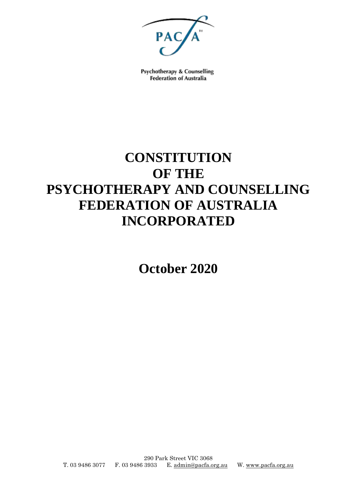

Psychotherapy & Counselling **Federation of Australia** 

# **CONSTITUTION OF THE PSYCHOTHERAPY AND COUNSELLING FEDERATION OF AUSTRALIA INCORPORATED**

**October 2020**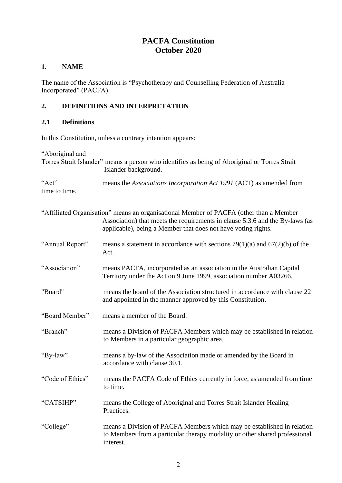# **PACFA Constitution October 2020**

## **1. NAME**

The name of the Association is "Psychotherapy and Counselling Federation of Australia Incorporated" (PACFA).

# **2. DEFINITIONS AND INTERPRETATION**

## **2.1 Definitions**

In this Constitution, unless a contrary intention appears:

"Aboriginal and Torres Strait Islander" means a person who identifies as being of Aboriginal or Torres Strait Islander background. "Act" means the *Associations Incorporation Act 1991* (ACT) as amended from time to time. "Affiliated Organisation" means an organisational Member of PACFA (other than a Member Association) that meets the requirements in clause 5.3.6 and the By-laws (as applicable), being a Member that does not have voting rights. "Annual Report" means a statement in accordance with sections  $79(1)(a)$  and  $67(2)(b)$  of the Act. "Association" means PACFA, incorporated as an association in the Australian Capital Territory under the Act on 9 June 1999, association number A03266. "Board" means the board of the Association structured in accordance with clause 22 and appointed in the manner approved by this Constitution. "Board Member" means a member of the Board. "Branch" means a Division of PACFA Members which may be established in relation to Members in a particular geographic area. "By-law" means a by-law of the Association made or amended by the Board in accordance with clause 30.1. "Code of Ethics" means the PACFA Code of Ethics currently in force, as amended from time to time. "CATSIHP" means the College of Aboriginal and Torres Strait Islander Healing Practices. "College" means a Division of PACFA Members which may be established in relation to Members from a particular therapy modality or other shared professional interest.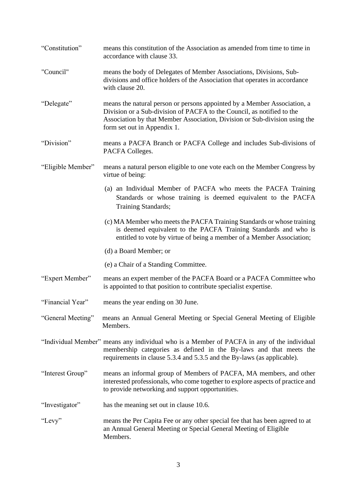| "Constitution"    | means this constitution of the Association as amended from time to time in<br>accordance with clause 33.                                                                                                                                                        |
|-------------------|-----------------------------------------------------------------------------------------------------------------------------------------------------------------------------------------------------------------------------------------------------------------|
| "Council"         | means the body of Delegates of Member Associations, Divisions, Sub-<br>divisions and office holders of the Association that operates in accordance<br>with clause 20.                                                                                           |
| "Delegate"        | means the natural person or persons appointed by a Member Association, a<br>Division or a Sub-division of PACFA to the Council, as notified to the<br>Association by that Member Association, Division or Sub-division using the<br>form set out in Appendix 1. |
| "Division"        | means a PACFA Branch or PACFA College and includes Sub-divisions of<br>PACFA Colleges.                                                                                                                                                                          |
| "Eligible Member" | means a natural person eligible to one vote each on the Member Congress by<br>virtue of being:                                                                                                                                                                  |
|                   | (a) an Individual Member of PACFA who meets the PACFA Training<br>Standards or whose training is deemed equivalent to the PACFA<br>Training Standards;                                                                                                          |
|                   | (c) MA Member who meets the PACFA Training Standards or whose training<br>is deemed equivalent to the PACFA Training Standards and who is<br>entitled to vote by virtue of being a member of a Member Association;                                              |
|                   | (d) a Board Member; or                                                                                                                                                                                                                                          |
|                   | (e) a Chair of a Standing Committee.                                                                                                                                                                                                                            |
| "Expert Member"   | means an expert member of the PACFA Board or a PACFA Committee who<br>is appointed to that position to contribute specialist expertise.                                                                                                                         |
| "Financial Year"  | means the year ending on 30 June.                                                                                                                                                                                                                               |
| "General Meeting" | means an Annual General Meeting or Special General Meeting of Eligible<br>Members.                                                                                                                                                                              |
|                   | "Individual Member" means any individual who is a Member of PACFA in any of the individual<br>membership categories as defined in the By-laws and that meets the<br>requirements in clause 5.3.4 and 5.3.5 and the By-laws (as applicable).                     |
| "Interest Group"  | means an informal group of Members of PACFA, MA members, and other<br>interested professionals, who come together to explore aspects of practice and<br>to provide networking and support opportunities.                                                        |
| "Investigator"    | has the meaning set out in clause 10.6.                                                                                                                                                                                                                         |
| "Levy"            | means the Per Capita Fee or any other special fee that has been agreed to at<br>an Annual General Meeting or Special General Meeting of Eligible<br>Members.                                                                                                    |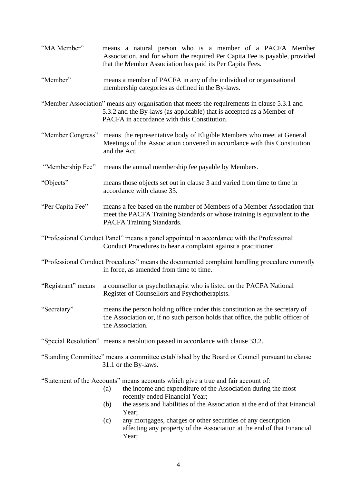| "MA Member"        | means a natural person who is a member of a PACFA Member<br>Association, and for whom the required Per Capita Fee is payable, provided<br>that the Member Association has paid its Per Capita Fees.                                                                              |
|--------------------|----------------------------------------------------------------------------------------------------------------------------------------------------------------------------------------------------------------------------------------------------------------------------------|
| "Member"           | means a member of PACFA in any of the individual or organisational<br>membership categories as defined in the By-laws.                                                                                                                                                           |
|                    | "Member Association" means any organisation that meets the requirements in clause 5.3.1 and<br>5.3.2 and the By-laws (as applicable) that is accepted as a Member of<br>PACFA in accordance with this Constitution.                                                              |
| "Member Congress"  | means the representative body of Eligible Members who meet at General<br>Meetings of the Association convened in accordance with this Constitution<br>and the Act.                                                                                                               |
| "Membership Fee"   | means the annual membership fee payable by Members.                                                                                                                                                                                                                              |
| "Objects"          | means those objects set out in clause 3 and varied from time to time in<br>accordance with clause 33.                                                                                                                                                                            |
| "Per Capita Fee"   | means a fee based on the number of Members of a Member Association that<br>meet the PACFA Training Standards or whose training is equivalent to the<br>PACFA Training Standards.                                                                                                 |
|                    | "Professional Conduct Panel" means a panel appointed in accordance with the Professional<br>Conduct Procedures to hear a complaint against a practitioner.                                                                                                                       |
|                    | "Professional Conduct Procedures" means the documented complaint handling procedure currently<br>in force, as amended from time to time.                                                                                                                                         |
| "Registrant" means | a counsellor or psychotherapist who is listed on the PACFA National<br>Register of Counsellors and Psychotherapists.                                                                                                                                                             |
| "Secretary"        | means the person holding office under this constitution as the secretary of<br>the Association or, if no such person holds that office, the public officer of<br>the Association.                                                                                                |
|                    | "Special Resolution" means a resolution passed in accordance with clause 33.2.                                                                                                                                                                                                   |
|                    | "Standing Committee" means a committee established by the Board or Council pursuant to clause<br>31.1 or the By-laws.                                                                                                                                                            |
|                    | "Statement of the Accounts" means accounts which give a true and fair account of:<br>the income and expenditure of the Association during the most<br>(a)<br>recently ended Financial Year;<br>the assets and liabilities of the Association at the end of that Financial<br>(b) |
|                    | Year;<br>any mortgages, charges or other securities of any description<br>(c)<br>affecting any property of the Association at the end of that Financial<br>Year;                                                                                                                 |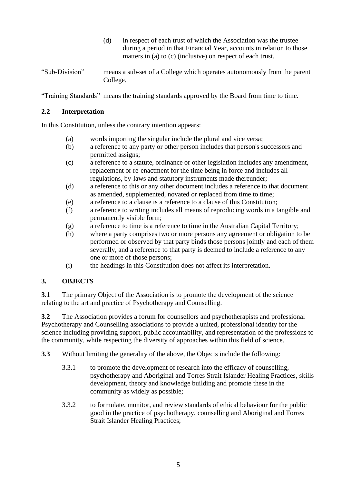- (d) in respect of each trust of which the Association was the trustee during a period in that Financial Year, accounts in relation to those matters in (a) to (c) (inclusive) on respect of each trust.
- "Sub-Division" means a sub-set of a College which operates autonomously from the parent College.

"Training Standards" means the training standards approved by the Board from time to time.

#### **2.2 Interpretation**

In this Constitution, unless the contrary intention appears:

- (a) words importing the singular include the plural and vice versa;
- (b) a reference to any party or other person includes that person's successors and permitted assigns;
- (c) a reference to a statute, ordinance or other legislation includes any amendment, replacement or re-enactment for the time being in force and includes all regulations, by-laws and statutory instruments made thereunder;
- (d) a reference to this or any other document includes a reference to that document as amended, supplemented, novated or replaced from time to time;
- (e) a reference to a clause is a reference to a clause of this Constitution;
- (f) a reference to writing includes all means of reproducing words in a tangible and permanently visible form;
- (g) a reference to time is a reference to time in the Australian Capital Territory;
- (h) where a party comprises two or more persons any agreement or obligation to be performed or observed by that party binds those persons jointly and each of them severally, and a reference to that party is deemed to include a reference to any one or more of those persons;
- (i) the headings in this Constitution does not affect its interpretation.

# **3. OBJECTS**

**3.1** The primary Object of the Association is to promote the development of the science relating to the art and practice of Psychotherapy and Counselling.

**3.2** The Association provides a forum for counsellors and psychotherapists and professional Psychotherapy and Counselling associations to provide a united, professional identity for the science including providing support, public accountability, and representation of the professions to the community, while respecting the diversity of approaches within this field of science.

**3.3** Without limiting the generality of the above, the Objects include the following:

- 3.3.1 to promote the development of research into the efficacy of counselling, psychotherapy and Aboriginal and Torres Strait Islander Healing Practices, skills development, theory and knowledge building and promote these in the community as widely as possible;
- 3.3.2 to formulate, monitor, and review standards of ethical behaviour for the public good in the practice of psychotherapy, counselling and Aboriginal and Torres Strait Islander Healing Practices;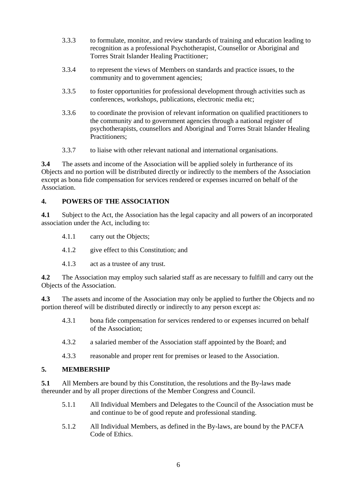- 3.3.3 to formulate, monitor, and review standards of training and education leading to recognition as a professional Psychotherapist, Counsellor or Aboriginal and Torres Strait Islander Healing Practitioner;
- 3.3.4 to represent the views of Members on standards and practice issues, to the community and to government agencies;
- 3.3.5 to foster opportunities for professional development through activities such as conferences, workshops, publications, electronic media etc;
- 3.3.6 to coordinate the provision of relevant information on qualified practitioners to the community and to government agencies through a national register of psychotherapists, counsellors and Aboriginal and Torres Strait Islander Healing Practitioners;
- 3.3.7 to liaise with other relevant national and international organisations.

**3.4** The assets and income of the Association will be applied solely in furtherance of its Objects and no portion will be distributed directly or indirectly to the members of the Association except as bona fide compensation for services rendered or expenses incurred on behalf of the Association.

# **4. POWERS OF THE ASSOCIATION**

**4.1** Subject to the Act, the Association has the legal capacity and all powers of an incorporated association under the Act, including to:

- 4.1.1 carry out the Objects;
- 4.1.2 give effect to this Constitution; and
- 4.1.3 act as a trustee of any trust.

**4.2** The Association may employ such salaried staff as are necessary to fulfill and carry out the Objects of the Association.

**4.3** The assets and income of the Association may only be applied to further the Objects and no portion thereof will be distributed directly or indirectly to any person except as:

- 4.3.1 bona fide compensation for services rendered to or expenses incurred on behalf of the Association;
- 4.3.2 a salaried member of the Association staff appointed by the Board; and
- 4.3.3 reasonable and proper rent for premises or leased to the Association.

## **5. MEMBERSHIP**

**5.1** All Members are bound by this Constitution, the resolutions and the By-laws made thereunder and by all proper directions of the Member Congress and Council.

- 5.1.1 All Individual Members and Delegates to the Council of the Association must be and continue to be of good repute and professional standing.
- 5.1.2 All Individual Members, as defined in the By-laws, are bound by the PACFA Code of Ethics.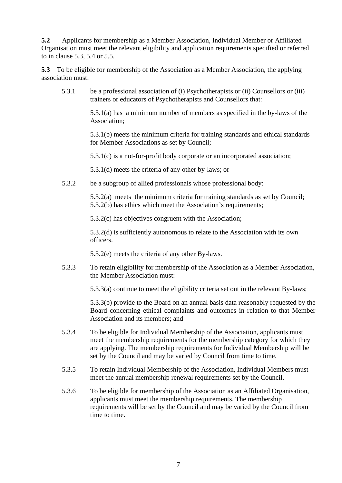**5.2** Applicants for membership as a Member Association, Individual Member or Affiliated Organisation must meet the relevant eligibility and application requirements specified or referred to in clause 5.3, 5.4 or 5.5.

**5.3** To be eligible for membership of the Association as a Member Association, the applying association must:

5.3.1 be a professional association of (i) Psychotherapists or (ii) Counsellors or (iii) trainers or educators of Psychotherapists and Counsellors that:

> 5.3.1(a) has a minimum number of members as specified in the by-laws of the Association;

> 5.3.1(b) meets the minimum criteria for training standards and ethical standards for Member Associations as set by Council;

5.3.1(c) is a not-for-profit body corporate or an incorporated association;

5.3.1(d) meets the criteria of any other by-laws; or

5.3.2 be a subgroup of allied professionals whose professional body:

5.3.2(a) meets the minimum criteria for training standards as set by Council; 5.3.2(b) has ethics which meet the Association's requirements;

5.3.2(c) has objectives congruent with the Association;

5.3.2(d) is sufficiently autonomous to relate to the Association with its own officers.

5.3.2(e) meets the criteria of any other By-laws.

5.3.3 To retain eligibility for membership of the Association as a Member Association, the Member Association must:

5.3.3(a) continue to meet the eligibility criteria set out in the relevant By-laws;

5.3.3(b) provide to the Board on an annual basis data reasonably requested by the Board concerning ethical complaints and outcomes in relation to that Member Association and its members; and

- 5.3.4 To be eligible for Individual Membership of the Association, applicants must meet the membership requirements for the membership category for which they are applying. The membership requirements for Individual Membership will be set by the Council and may be varied by Council from time to time.
- 5.3.5 To retain Individual Membership of the Association, Individual Members must meet the annual membership renewal requirements set by the Council.
- 5.3.6 To be eligible for membership of the Association as an Affiliated Organisation, applicants must meet the membership requirements. The membership requirements will be set by the Council and may be varied by the Council from time to time.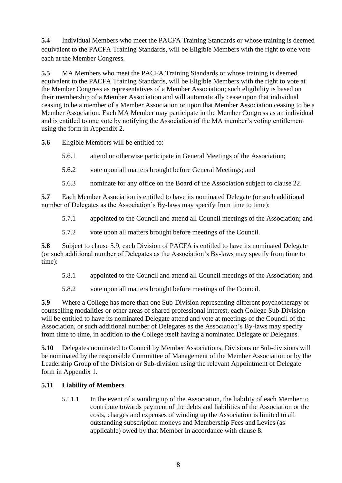**5.4** Individual Members who meet the PACFA Training Standards or whose training is deemed equivalent to the PACFA Training Standards, will be Eligible Members with the right to one vote each at the Member Congress.

**5.5** MA Members who meet the PACFA Training Standards or whose training is deemed equivalent to the PACFA Training Standards, will be Eligible Members with the right to vote at the Member Congress as representatives of a Member Association; such eligibility is based on their membership of a Member Association and will automatically cease upon that individual ceasing to be a member of a Member Association or upon that Member Association ceasing to be a Member Association. Each MA Member may participate in the Member Congress as an individual and is entitled to one vote by notifying the Association of the MA member's voting entitlement using the form in Appendix 2.

**5.6** Eligible Members will be entitled to:

- 5.6.1 attend or otherwise participate in General Meetings of the Association;
- 5.6.2 vote upon all matters brought before General Meetings; and
- 5.6.3 nominate for any office on the Board of the Association subject to clause 22.

**5.7** Each Member Association is entitled to have its nominated Delegate (or such additional number of Delegates as the Association's By-laws may specify from time to time):

5.7.1 appointed to the Council and attend all Council meetings of the Association; and

5.7.2 vote upon all matters brought before meetings of the Council.

**5.8** Subject to clause 5.9, each Division of PACFA is entitled to have its nominated Delegate (or such additional number of Delegates as the Association's By-laws may specify from time to time):

5.8.1 appointed to the Council and attend all Council meetings of the Association; and

5.8.2 vote upon all matters brought before meetings of the Council.

**5.9** Where a College has more than one Sub-Division representing different psychotherapy or counselling modalities or other areas of shared professional interest, each College Sub-Division will be entitled to have its nominated Delegate attend and vote at meetings of the Council of the Association, or such additional number of Delegates as the Association's By-laws may specify from time to time, in addition to the College itself having a nominated Delegate or Delegates.

**5.10** Delegates nominated to Council by Member Associations, Divisions or Sub-divisions will be nominated by the responsible Committee of Management of the Member Association or by the Leadership Group of the Division or Sub-division using the relevant Appointment of Delegate form in Appendix 1.

## **5.11 Liability of Members**

5.11.1 In the event of a winding up of the Association, the liability of each Member to contribute towards payment of the debts and liabilities of the Association or the costs, charges and expenses of winding up the Association is limited to all outstanding subscription moneys and Membership Fees and Levies (as applicable) owed by that Member in accordance with clause 8.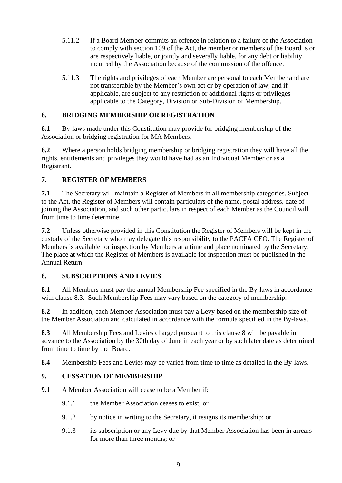- 5.11.2 If a Board Member commits an offence in relation to a failure of the Association to comply with section 109 of the Act, the member or members of the Board is or are respectively liable, or jointly and severally liable, for any debt or liability incurred by the Association because of the commission of the offence.
- 5.11.3 The rights and privileges of each Member are personal to each Member and are not transferable by the Member's own act or by operation of law, and if applicable, are subject to any restriction or additional rights or privileges applicable to the Category, Division or Sub-Division of Membership.

# **6. BRIDGING MEMBERSHIP OR REGISTRATION**

**6.1** By-laws made under this Constitution may provide for bridging membership of the Association or bridging registration for MA Members.

**6.2** Where a person holds bridging membership or bridging registration they will have all the rights, entitlements and privileges they would have had as an Individual Member or as a Registrant.

# **7. REGISTER OF MEMBERS**

**7.1** The Secretary will maintain a Register of Members in all membership categories. Subject to the Act, the Register of Members will contain particulars of the name, postal address, date of joining the Association, and such other particulars in respect of each Member as the Council will from time to time determine.

**7.2** Unless otherwise provided in this Constitution the Register of Members will be kept in the custody of the Secretary who may delegate this responsibility to the PACFA CEO. The Register of Members is available for inspection by Members at a time and place nominated by the Secretary. The place at which the Register of Members is available for inspection must be published in the Annual Return.

## **8. SUBSCRIPTIONS AND LEVIES**

**8.1** All Members must pay the annual Membership Fee specified in the By-laws in accordance with clause 8.3. Such Membership Fees may vary based on the category of membership.

**8.2** In addition, each Member Association must pay a Levy based on the membership size of the Member Association and calculated in accordance with the formula specified in the By-laws.

**8.3** All Membership Fees and Levies charged pursuant to this clause 8 will be payable in advance to the Association by the 30th day of June in each year or by such later date as determined from time to time by the Board.

**8.4** Membership Fees and Levies may be varied from time to time as detailed in the By-laws.

# **9. CESSATION OF MEMBERSHIP**

- **9.1** A Member Association will cease to be a Member if:
	- 9.1.1 the Member Association ceases to exist; or
	- 9.1.2 by notice in writing to the Secretary, it resigns its membership; or
	- 9.1.3 its subscription or any Levy due by that Member Association has been in arrears for more than three months; or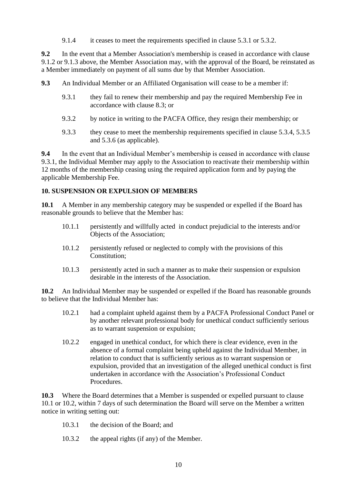9.1.4 it ceases to meet the requirements specified in clause 5.3.1 or 5.3.2.

**9.2** In the event that a Member Association's membership is ceased in accordance with clause 9.1.2 or 9.1.3 above, the Member Association may, with the approval of the Board, be reinstated as a Member immediately on payment of all sums due by that Member Association.

- **9.3** An Individual Member or an Affiliated Organisation will cease to be a member if:
	- 9.3.1 they fail to renew their membership and pay the required Membership Fee in accordance with clause 8.3; or
	- 9.3.2 by notice in writing to the PACFA Office, they resign their membership; or
	- 9.3.3 they cease to meet the membership requirements specified in clause 5.3.4, 5.3.5 and 5.3.6 (as applicable).

**9.4** In the event that an Individual Member's membership is ceased in accordance with clause 9.3.1, the Individual Member may apply to the Association to reactivate their membership within 12 months of the membership ceasing using the required application form and by paying the applicable Membership Fee.

#### **10. SUSPENSION OR EXPULSION OF MEMBERS**

**10.1** A Member in any membership category may be suspended or expelled if the Board has reasonable grounds to believe that the Member has:

- 10.1.1 persistently and willfully acted in conduct prejudicial to the interests and/or Objects of the Association;
- 10.1.2 persistently refused or neglected to comply with the provisions of this Constitution;
- 10.1.3 persistently acted in such a manner as to make their suspension or expulsion desirable in the interests of the Association.

**10.2** An Individual Member may be suspended or expelled if the Board has reasonable grounds to believe that the Individual Member has:

- 10.2.1 had a complaint upheld against them by a PACFA Professional Conduct Panel or by another relevant professional body for unethical conduct sufficiently serious as to warrant suspension or expulsion;
- 10.2.2 engaged in unethical conduct, for which there is clear evidence, even in the absence of a formal complaint being upheld against the Individual Member, in relation to conduct that is sufficiently serious as to warrant suspension or expulsion, provided that an investigation of the alleged unethical conduct is first undertaken in accordance with the Association's Professional Conduct Procedures.

**10.3** Where the Board determines that a Member is suspended or expelled pursuant to clause 10.1 or 10.2, within 7 days of such determination the Board will serve on the Member a written notice in writing setting out:

- 10.3.1 the decision of the Board; and
- 10.3.2 the appeal rights (if any) of the Member.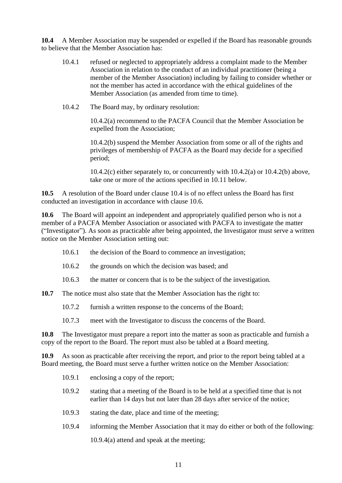**10.4** A Member Association may be suspended or expelled if the Board has reasonable grounds to believe that the Member Association has:

- 10.4.1 refused or neglected to appropriately address a complaint made to the Member Association in relation to the conduct of an individual practitioner (being a member of the Member Association) including by failing to consider whether or not the member has acted in accordance with the ethical guidelines of the Member Association (as amended from time to time).
- 10.4.2 The Board may, by ordinary resolution:

10.4.2(a) recommend to the PACFA Council that the Member Association be expelled from the Association;

10.4.2(b) suspend the Member Association from some or all of the rights and privileges of membership of PACFA as the Board may decide for a specified period;

10.4.2(c) either separately to, or concurrently with 10.4.2(a) or 10.4.2(b) above, take one or more of the actions specified in 10.11 below.

**10.5** A resolution of the Board under clause 10.4 is of no effect unless the Board has first conducted an investigation in accordance with clause 10.6.

**10.6** The Board will appoint an independent and appropriately qualified person who is not a member of a PACFA Member Association or associated with PACFA to investigate the matter ("Investigator"). As soon as practicable after being appointed, the Investigator must serve a written notice on the Member Association setting out:

- 10.6.1 the decision of the Board to commence an investigation;
- 10.6.2 the grounds on which the decision was based; and
- 10.6.3 the matter or concern that is to be the subject of the investigation.

**10.7** The notice must also state that the Member Association has the right to:

- 10.7.2 furnish a written response to the concerns of the Board;
- 10.7.3 meet with the Investigator to discuss the concerns of the Board.

**10.8** The Investigator must prepare a report into the matter as soon as practicable and furnish a copy of the report to the Board. The report must also be tabled at a Board meeting.

**10.9** As soon as practicable after receiving the report, and prior to the report being tabled at a Board meeting, the Board must serve a further written notice on the Member Association:

- 10.9.1 enclosing a copy of the report;
- 10.9.2 stating that a meeting of the Board is to be held at a specified time that is not earlier than 14 days but not later than 28 days after service of the notice;
- 10.9.3 stating the date, place and time of the meeting;
- 10.9.4 informing the Member Association that it may do either or both of the following:

10.9.4(a) attend and speak at the meeting;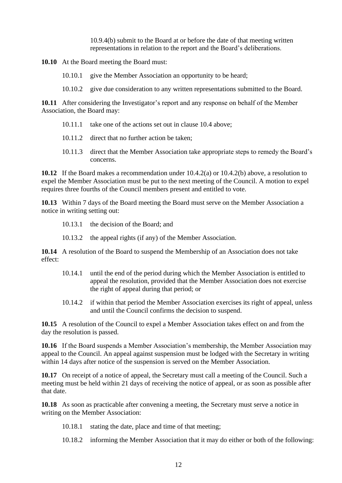10.9.4(b) submit to the Board at or before the date of that meeting written representations in relation to the report and the Board's deliberations.

**10.10** At the Board meeting the Board must:

- 10.10.1 give the Member Association an opportunity to be heard;
- 10.10.2 give due consideration to any written representations submitted to the Board.

**10.11** After considering the Investigator's report and any response on behalf of the Member Association, the Board may:

- 10.11.1 take one of the actions set out in clause 10.4 above;
- 10.11.2 direct that no further action be taken;
- 10.11.3 direct that the Member Association take appropriate steps to remedy the Board's concerns.

**10.12** If the Board makes a recommendation under 10.4.2(a) or 10.4.2(b) above, a resolution to expel the Member Association must be put to the next meeting of the Council. A motion to expel requires three fourths of the Council members present and entitled to vote.

**10.13** Within 7 days of the Board meeting the Board must serve on the Member Association a notice in writing setting out:

- 10.13.1 the decision of the Board; and
- 10.13.2 the appeal rights (if any) of the Member Association.

**10.14** A resolution of the Board to suspend the Membership of an Association does not take effect:

- 10.14.1 until the end of the period during which the Member Association is entitled to appeal the resolution, provided that the Member Association does not exercise the right of appeal during that period; or
- 10.14.2 if within that period the Member Association exercises its right of appeal, unless and until the Council confirms the decision to suspend.

**10.15** A resolution of the Council to expel a Member Association takes effect on and from the day the resolution is passed.

**10.16** If the Board suspends a Member Association's membership, the Member Association may appeal to the Council. An appeal against suspension must be lodged with the Secretary in writing within 14 days after notice of the suspension is served on the Member Association.

**10.17** On receipt of a notice of appeal, the Secretary must call a meeting of the Council. Such a meeting must be held within 21 days of receiving the notice of appeal, or as soon as possible after that date.

**10.18** As soon as practicable after convening a meeting, the Secretary must serve a notice in writing on the Member Association:

- 10.18.1 stating the date, place and time of that meeting;
- 10.18.2 informing the Member Association that it may do either or both of the following: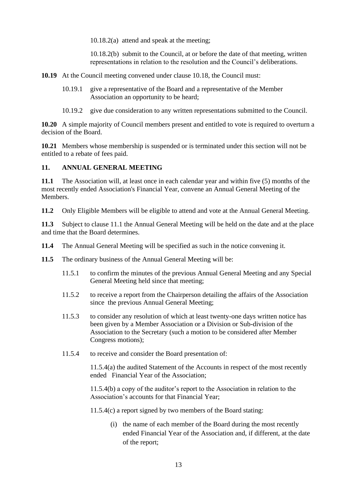10.18.2(a) attend and speak at the meeting;

10.18.2(b) submit to the Council, at or before the date of that meeting, written representations in relation to the resolution and the Council's deliberations.

**10.19** At the Council meeting convened under clause 10.18, the Council must:

- 10.19.1 give a representative of the Board and a representative of the Member Association an opportunity to be heard;
- 10.19.2 give due consideration to any written representations submitted to the Council.

**10.20** A simple majority of Council members present and entitled to vote is required to overturn a decision of the Board.

**10.21** Members whose membership is suspended or is terminated under this section will not be entitled to a rebate of fees paid.

#### **11. ANNUAL GENERAL MEETING**

**11.1** The Association will, at least once in each calendar year and within five (5) months of the most recently ended Association's Financial Year, convene an Annual General Meeting of the Members.

**11.2** Only Eligible Members will be eligible to attend and vote at the Annual General Meeting.

**11.3** Subject to clause 11.1 the Annual General Meeting will be held on the date and at the place and time that the Board determines.

- **11.4** The Annual General Meeting will be specified as such in the notice convening it.
- **11.5** The ordinary business of the Annual General Meeting will be:
	- 11.5.1 to confirm the minutes of the previous Annual General Meeting and any Special General Meeting held since that meeting;
	- 11.5.2 to receive a report from the Chairperson detailing the affairs of the Association since the previous Annual General Meeting;
	- 11.5.3 to consider any resolution of which at least twenty-one days written notice has been given by a Member Association or a Division or Sub-division of the Association to the Secretary (such a motion to be considered after Member Congress motions);
	- 11.5.4 to receive and consider the Board presentation of:

11.5.4(a) the audited Statement of the Accounts in respect of the most recently ended Financial Year of the Association;

11.5.4(b) a copy of the auditor's report to the Association in relation to the Association's accounts for that Financial Year;

11.5.4(c) a report signed by two members of the Board stating:

(i) the name of each member of the Board during the most recently ended Financial Year of the Association and, if different, at the date of the report;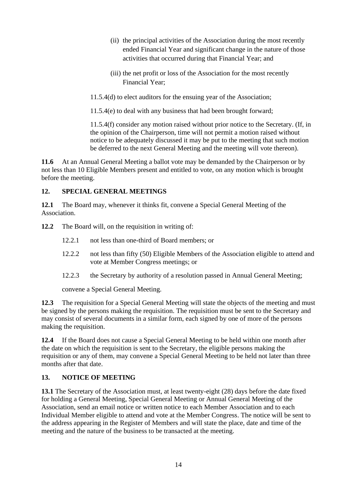- (ii) the principal activities of the Association during the most recently ended Financial Year and significant change in the nature of those activities that occurred during that Financial Year; and
- (iii) the net profit or loss of the Association for the most recently Financial Year;
- 11.5.4(d) to elect auditors for the ensuing year of the Association;

11.5.4(e) to deal with any business that had been brought forward;

11.5.4(f) consider any motion raised without prior notice to the Secretary. (If, in the opinion of the Chairperson, time will not permit a motion raised without notice to be adequately discussed it may be put to the meeting that such motion be deferred to the next General Meeting and the meeting will vote thereon).

**11.6** At an Annual General Meeting a ballot vote may be demanded by the Chairperson or by not less than 10 Eligible Members present and entitled to vote, on any motion which is brought before the meeting.

# **12. SPECIAL GENERAL MEETINGS**

**12.1** The Board may, whenever it thinks fit, convene a Special General Meeting of the Association.

**12.2** The Board will, on the requisition in writing of:

- 12.2.1 not less than one-third of Board members; or
- 12.2.2 not less than fifty (50) Eligible Members of the Association eligible to attend and vote at Member Congress meetings; or
- 12.2.3 the Secretary by authority of a resolution passed in Annual General Meeting;

convene a Special General Meeting.

**12.3** The requisition for a Special General Meeting will state the objects of the meeting and must be signed by the persons making the requisition. The requisition must be sent to the Secretary and may consist of several documents in a similar form, each signed by one of more of the persons making the requisition.

**12.4** If the Board does not cause a Special General Meeting to be held within one month after the date on which the requisition is sent to the Secretary, the eligible persons making the requisition or any of them, may convene a Special General Meeting to be held not later than three months after that date.

# **13. NOTICE OF MEETING**

**13.1** The Secretary of the Association must, at least twenty-eight (28) days before the date fixed for holding a General Meeting, Special General Meeting or Annual General Meeting of the Association, send an email notice or written notice to each Member Association and to each Individual Member eligible to attend and vote at the Member Congress. The notice will be sent to the address appearing in the Register of Members and will state the place, date and time of the meeting and the nature of the business to be transacted at the meeting.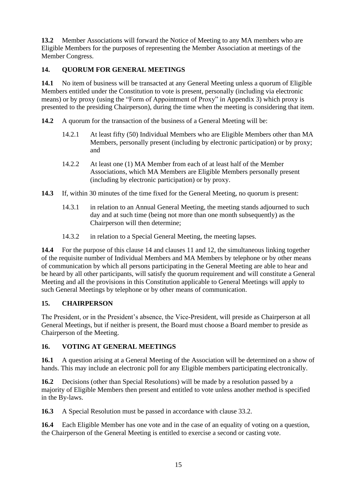**13.2** Member Associations will forward the Notice of Meeting to any MA members who are Eligible Members for the purposes of representing the Member Association at meetings of the Member Congress.

# **14. QUORUM FOR GENERAL MEETINGS**

**14.1** No item of business will be transacted at any General Meeting unless a quorum of Eligible Members entitled under the Constitution to vote is present, personally (including via electronic means) or by proxy (using the "Form of Appointment of Proxy" in Appendix 3) which proxy is presented to the presiding Chairperson), during the time when the meeting is considering that item.

**14.2** A quorum for the transaction of the business of a General Meeting will be:

- 14.2.1 At least fifty (50) Individual Members who are Eligible Members other than MA Members, personally present (including by electronic participation) or by proxy; and
- 14.2.2 At least one (1) MA Member from each of at least half of the Member Associations, which MA Members are Eligible Members personally present (including by electronic participation) or by proxy.
- **14.3** If, within 30 minutes of the time fixed for the General Meeting, no quorum is present:
	- 14.3.1 in relation to an Annual General Meeting, the meeting stands adjourned to such day and at such time (being not more than one month subsequently) as the Chairperson will then determine;
	- 14.3.2 in relation to a Special General Meeting, the meeting lapses.

**14.4** For the purpose of this clause 14 and clauses 11 and 12, the simultaneous linking together of the requisite number of Individual Members and MA Members by telephone or by other means of communication by which all persons participating in the General Meeting are able to hear and be heard by all other participants, will satisfy the quorum requirement and will constitute a General Meeting and all the provisions in this Constitution applicable to General Meetings will apply to such General Meetings by telephone or by other means of communication.

## **15. CHAIRPERSON**

The President, or in the President's absence, the Vice-President, will preside as Chairperson at all General Meetings, but if neither is present, the Board must choose a Board member to preside as Chairperson of the Meeting.

# **16. VOTING AT GENERAL MEETINGS**

**16.1** A question arising at a General Meeting of the Association will be determined on a show of hands. This may include an electronic poll for any Eligible members participating electronically.

**16.2** Decisions (other than Special Resolutions) will be made by a resolution passed by a majority of Eligible Members then present and entitled to vote unless another method is specified in the By-laws.

**16.3** A Special Resolution must be passed in accordance with clause 33.2.

**16.4** Each Eligible Member has one vote and in the case of an equality of voting on a question, the Chairperson of the General Meeting is entitled to exercise a second or casting vote.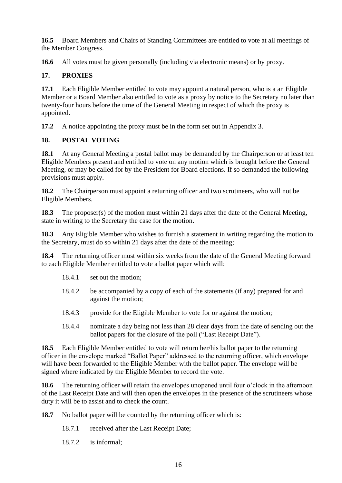**16.5** Board Members and Chairs of Standing Committees are entitled to vote at all meetings of the Member Congress.

**16.6** All votes must be given personally (including via electronic means) or by proxy.

# **17. PROXIES**

**17.1** Each Eligible Member entitled to vote may appoint a natural person, who is a an Eligible Member or a Board Member also entitled to vote as a proxy by notice to the Secretary no later than twenty-four hours before the time of the General Meeting in respect of which the proxy is appointed.

**17.2** A notice appointing the proxy must be in the form set out in Appendix 3.

# **18. POSTAL VOTING**

**18.1** At any General Meeting a postal ballot may be demanded by the Chairperson or at least ten Eligible Members present and entitled to vote on any motion which is brought before the General Meeting, or may be called for by the President for Board elections. If so demanded the following provisions must apply.

**18.2** The Chairperson must appoint a returning officer and two scrutineers, who will not be Eligible Members.

**18.3** The proposer(s) of the motion must within 21 days after the date of the General Meeting, state in writing to the Secretary the case for the motion.

**18.3** Any Eligible Member who wishes to furnish a statement in writing regarding the motion to the Secretary, must do so within 21 days after the date of the meeting;

**18.4** The returning officer must within six weeks from the date of the General Meeting forward to each Eligible Member entitled to vote a ballot paper which will:

- 18.4.1 set out the motion;
- 18.4.2 be accompanied by a copy of each of the statements (if any) prepared for and against the motion;
- 18.4.3 provide for the Eligible Member to vote for or against the motion;
- 18.4.4 nominate a day being not less than 28 clear days from the date of sending out the ballot papers for the closure of the poll ("Last Receipt Date").

**18.5** Each Eligible Member entitled to vote will return her/his ballot paper to the returning officer in the envelope marked "Ballot Paper" addressed to the returning officer, which envelope will have been forwarded to the Eligible Member with the ballot paper. The envelope will be signed where indicated by the Eligible Member to record the vote.

**18.6** The returning officer will retain the envelopes unopened until four o'clock in the afternoon of the Last Receipt Date and will then open the envelopes in the presence of the scrutineers whose duty it will be to assist and to check the count.

- **18.7** No ballot paper will be counted by the returning officer which is:
	- 18.7.1 received after the Last Receipt Date;
	- 18.7.2 is informal;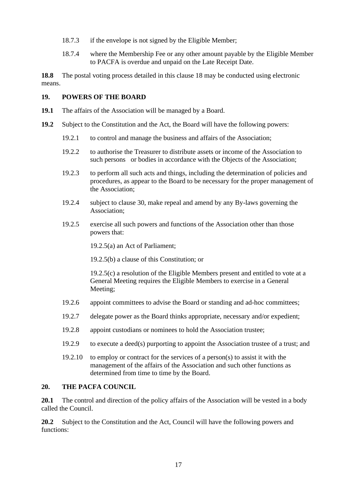- 18.7.3 if the envelope is not signed by the Eligible Member;
- 18.7.4 where the Membership Fee or any other amount payable by the Eligible Member to PACFA is overdue and unpaid on the Late Receipt Date.

**18.8** The postal voting process detailed in this clause 18 may be conducted using electronic means.

#### **19. POWERS OF THE BOARD**

- **19.1** The affairs of the Association will be managed by a Board.
- **19.2** Subject to the Constitution and the Act, the Board will have the following powers:
	- 19.2.1 to control and manage the business and affairs of the Association;
	- 19.2.2 to authorise the Treasurer to distribute assets or income of the Association to such persons or bodies in accordance with the Objects of the Association;
	- 19.2.3 to perform all such acts and things, including the determination of policies and procedures, as appear to the Board to be necessary for the proper management of the Association;
	- 19.2.4 subject to clause 30, make repeal and amend by any By-laws governing the Association;
	- 19.2.5 exercise all such powers and functions of the Association other than those powers that:

19.2.5(a) an Act of Parliament;

19.2.5(b) a clause of this Constitution; or

19.2.5(c) a resolution of the Eligible Members present and entitled to vote at a General Meeting requires the Eligible Members to exercise in a General Meeting;

- 19.2.6 appoint committees to advise the Board or standing and ad-hoc committees;
- 19.2.7 delegate power as the Board thinks appropriate, necessary and/or expedient;
- 19.2.8 appoint custodians or nominees to hold the Association trustee;
- 19.2.9 to execute a deed(s) purporting to appoint the Association trustee of a trust; and
- 19.2.10 to employ or contract for the services of a person(s) to assist it with the management of the affairs of the Association and such other functions as determined from time to time by the Board.

#### **20. THE PACFA COUNCIL**

**20.1** The control and direction of the policy affairs of the Association will be vested in a body called the Council.

**20.2** Subject to the Constitution and the Act, Council will have the following powers and functions: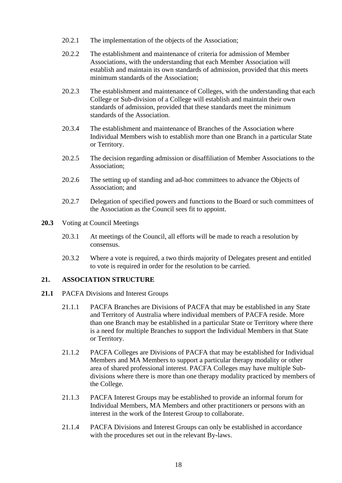- 20.2.1 The implementation of the objects of the Association;
- 20.2.2 The establishment and maintenance of criteria for admission of Member Associations, with the understanding that each Member Association will establish and maintain its own standards of admission, provided that this meets minimum standards of the Association;
- 20.2.3 The establishment and maintenance of Colleges, with the understanding that each College or Sub-division of a College will establish and maintain their own standards of admission, provided that these standards meet the minimum standards of the Association.
- 20.3.4 The establishment and maintenance of Branches of the Association where Individual Members wish to establish more than one Branch in a particular State or Territory.
- 20.2.5 The decision regarding admission or disaffiliation of Member Associations to the Association;
- 20.2.6 The setting up of standing and ad-hoc committees to advance the Objects of Association; and
- 20.2.7 Delegation of specified powers and functions to the Board or such committees of the Association as the Council sees fit to appoint.
- **20.3** Voting at Council Meetings
	- 20.3.1 At meetings of the Council, all efforts will be made to reach a resolution by consensus.
	- 20.3.2 Where a vote is required, a two thirds majority of Delegates present and entitled to vote is required in order for the resolution to be carried.

## **21. ASSOCIATION STRUCTURE**

- 21.1 PACFA Divisions and Interest Groups
	- 21.1.1 PACFA Branches are Divisions of PACFA that may be established in any State and Territory of Australia where individual members of PACFA reside. More than one Branch may be established in a particular State or Territory where there is a need for multiple Branches to support the Individual Members in that State or Territory.
	- 21.1.2 PACFA Colleges are Divisions of PACFA that may be established for Individual Members and MA Members to support a particular therapy modality or other area of shared professional interest. PACFA Colleges may have multiple Subdivisions where there is more than one therapy modality practiced by members of the College.
	- 21.1.3 PACFA Interest Groups may be established to provide an informal forum for Individual Members, MA Members and other practitioners or persons with an interest in the work of the Interest Group to collaborate.
	- 21.1.4 PACFA Divisions and Interest Groups can only be established in accordance with the procedures set out in the relevant By-laws.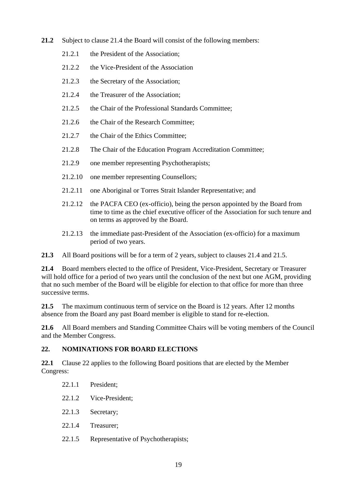- **21.2** Subject to clause 21.4 the Board will consist of the following members:
	- 21.2.1 the President of the Association;
	- 21.2.2 the Vice-President of the Association
	- 21.2.3 the Secretary of the Association;
	- 21.2.4 the Treasurer of the Association;
	- 21.2.5 the Chair of the Professional Standards Committee;
	- 21.2.6 the Chair of the Research Committee;
	- 21.2.7 the Chair of the Ethics Committee;
	- 21.2.8 The Chair of the Education Program Accreditation Committee;
	- 21.2.9 one member representing Psychotherapists;
	- 21.2.10 one member representing Counsellors;
	- 21.2.11 one Aboriginal or Torres Strait Islander Representative; and
	- 21.2.12 the PACFA CEO (ex-officio), being the person appointed by the Board from time to time as the chief executive officer of the Association for such tenure and on terms as approved by the Board.
	- 21.2.13 the immediate past-President of the Association (ex-officio) for a maximum period of two years.

**21.3** All Board positions will be for a term of 2 years, subject to clauses 21.4 and 21.5.

**21.4** Board members elected to the office of President, Vice-President, Secretary or Treasurer will hold office for a period of two years until the conclusion of the next but one AGM, providing that no such member of the Board will be eligible for election to that office for more than three successive terms.

**21.5** The maximum continuous term of service on the Board is 12 years. After 12 months absence from the Board any past Board member is eligible to stand for re-election.

**21.6** All Board members and Standing Committee Chairs will be voting members of the Council and the Member Congress.

# **22. NOMINATIONS FOR BOARD ELECTIONS**

**22.1** Clause 22 applies to the following Board positions that are elected by the Member Congress:

- 22.1.1 President;
- 22.1.2 Vice-President;
- 22.1.3 Secretary;
- 22.1.4 Treasurer;
- 22.1.5 Representative of Psychotherapists;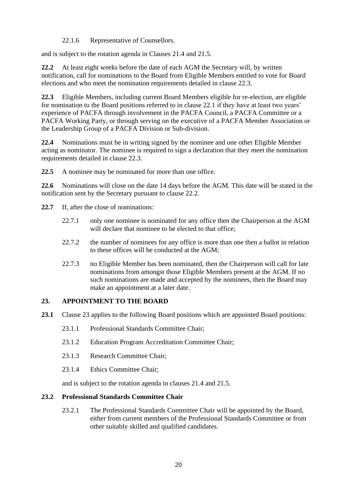22.1.6 Representative of Counsellors.

and is subject to the rotation agenda in Clauses 21.4 and 21.5.

**22.2** At least eight weeks before the date of each AGM the Secretary will, by written notification, call for nominations to the Board from Eligible Members entitled to vote for Board elections and who meet the nomination requirements detailed in clause 22.3.

**22.3** Eligible Members, including current Board Members eligible for re-election, are eligible for nomination to the Board positions referred to in clause 22.1 if they have at least two years' experience of PACFA through involvement in the PACFA Council, a PACFA Committee or a PACFA Working Party, or through serving on the executive of a PACFA Member Association or the Leadership Group of a PACFA Division or Sub-division.

**22.4** Nominations must be in writing signed by the nominee and one other Eligible Member acting as nominator. The nominee is required to sign a declaration that they meet the nomination requirements detailed in clause 22.3.

**22.5** A nominee may be nominated for more than one office.

**22.6** Nominations will close on the date 14 days before the AGM. This date will be stated in the notification sent by the Secretary pursuant to clause 22.2.

- **22.7** If, after the close of nominations:
	- 22.7.1 only one nominee is nominated for any office then the Chairperson at the AGM will declare that nominee to be elected to that office:
	- 22.7.2 the number of nominees for any office is more than one then a ballot in relation to these offices will be conducted at the AGM;
	- 22.7.3 no Eligible Member has been nominated, then the Chairperson will call for late nominations from amongst those Eligible Members present at the AGM. If no such nominations are made and accepted by the nominees, then the Board may make an appointment at a later date.

## **23. APPOINTMENT TO THE BOARD**

- **23.1** Clause 23 applies to the following Board positions which are appointed Board positions:
	- 23.1.1 Professional Standards Committee Chair;
	- 23.1.2 Education Program Accreditation Committee Chair;
	- 23.1.3 Research Committee Chair;
	- 23.1.4 Ethics Committee Chair;

and is subject to the rotation agenda in clauses 21.4 and 21.5.

#### **23.2 Professional Standards Committee Chair**

23.2.1 The Professional Standards Committee Chair will be appointed by the Board, either from current members of the Professional Standards Committee or from other suitably skilled and qualified candidates.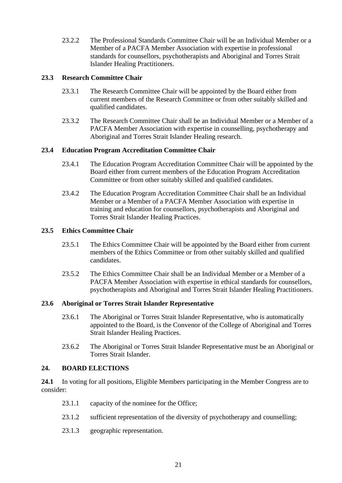23.2.2 The Professional Standards Committee Chair will be an Individual Member or a Member of a PACFA Member Association with expertise in professional standards for counsellors, psychotherapists and Aboriginal and Torres Strait Islander Healing Practitioners.

#### **23.3 Research Committee Chair**

- 23.3.1 The Research Committee Chair will be appointed by the Board either from current members of the Research Committee or from other suitably skilled and qualified candidates.
- 23.3.2 The Research Committee Chair shall be an Individual Member or a Member of a PACFA Member Association with expertise in counselling, psychotherapy and Aboriginal and Torres Strait Islander Healing research.

#### **23.4 Education Program Accreditation Committee Chair**

- 23.4.1 The Education Program Accreditation Committee Chair will be appointed by the Board either from current members of the Education Program Accreditation Committee or from other suitably skilled and qualified candidates.
- 23.4.2 The Education Program Accreditation Committee Chair shall be an Individual Member or a Member of a PACFA Member Association with expertise in training and education for counsellors, psychotherapists and Aboriginal and Torres Strait Islander Healing Practices.

#### **23.5 Ethics Committee Chair**

- 23.5.1 The Ethics Committee Chair will be appointed by the Board either from current members of the Ethics Committee or from other suitably skilled and qualified candidates.
- 23.5.2 The Ethics Committee Chair shall be an Individual Member or a Member of a PACFA Member Association with expertise in ethical standards for counsellors, psychotherapists and Aboriginal and Torres Strait Islander Healing Practitioners.

#### **23.6 Aboriginal or Torres Strait Islander Representative**

- 23.6.1 The Aboriginal or Torres Strait Islander Representative, who is automatically appointed to the Board, is the Convenor of the College of Aboriginal and Torres Strait Islander Healing Practices.
- 23.6.2 The Aboriginal or Torres Strait Islander Representative must be an Aboriginal or Torres Strait Islander.

## **24. BOARD ELECTIONS**

**24.1** In voting for all positions, Eligible Members participating in the Member Congress are to consider:

- 23.1.1 capacity of the nominee for the Office;
- 23.1.2 sufficient representation of the diversity of psychotherapy and counselling;
- 23.1.3 geographic representation.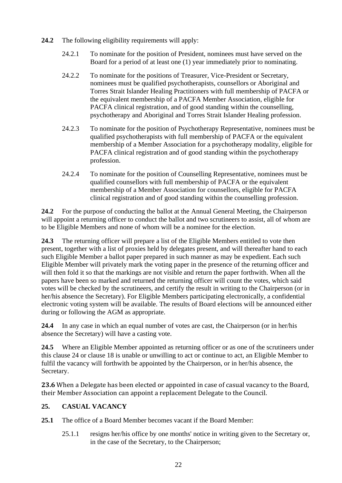- **24.2** The following eligibility requirements will apply:
	- 24.2.1 To nominate for the position of President, nominees must have served on the Board for a period of at least one (1) year immediately prior to nominating.
	- 24.2.2 To nominate for the positions of Treasurer, Vice-President or Secretary, nominees must be qualified psychotherapists, counsellors or Aboriginal and Torres Strait Islander Healing Practitioners with full membership of PACFA or the equivalent membership of a PACFA Member Association, eligible for PACFA clinical registration, and of good standing within the counselling, psychotherapy and Aboriginal and Torres Strait Islander Healing profession.
	- 24.2.3 To nominate for the position of Psychotherapy Representative, nominees must be qualified psychotherapists with full membership of PACFA or the equivalent membership of a Member Association for a psychotherapy modality, eligible for PACFA clinical registration and of good standing within the psychotherapy profession.
	- 24.2.4 To nominate for the position of Counselling Representative, nominees must be qualified counsellors with full membership of PACFA or the equivalent membership of a Member Association for counsellors, eligible for PACFA clinical registration and of good standing within the counselling profession.

**24.2** For the purpose of conducting the ballot at the Annual General Meeting, the Chairperson will appoint a returning officer to conduct the ballot and two scrutineers to assist, all of whom are to be Eligible Members and none of whom will be a nominee for the election.

**24.3** The returning officer will prepare a list of the Eligible Members entitled to vote then present, together with a list of proxies held by delegates present, and will thereafter hand to each such Eligible Member a ballot paper prepared in such manner as may be expedient. Each such Eligible Member will privately mark the voting paper in the presence of the returning officer and will then fold it so that the markings are not visible and return the paper forthwith. When all the papers have been so marked and returned the returning officer will count the votes, which said votes will be checked by the scrutineers, and certify the result in writing to the Chairperson (or in her/his absence the Secretary). For Eligible Members participating electronically, a confidential electronic voting system will be available. The results of Board elections will be announced either during or following the AGM as appropriate.

**24.4** In any case in which an equal number of votes are cast, the Chairperson (or in her/his absence the Secretary) will have a casting vote.

**24.5** Where an Eligible Member appointed as returning officer or as one of the scrutineers under this clause 24 or clause 18 is unable or unwilling to act or continue to act, an Eligible Member to fulfil the vacancy will forthwith be appointed by the Chairperson, or in her/his absence, the Secretary.

**23.6** When a Delegate has been elected or appointed in case of casual vacancy to the Board, their Member Association can appoint a replacement Delegate to the Council.

# **25. CASUAL VACANCY**

- **25.1** The office of a Board Member becomes vacant if the Board Member:
	- 25.1.1 resigns her/his office by one months' notice in writing given to the Secretary or, in the case of the Secretary, to the Chairperson;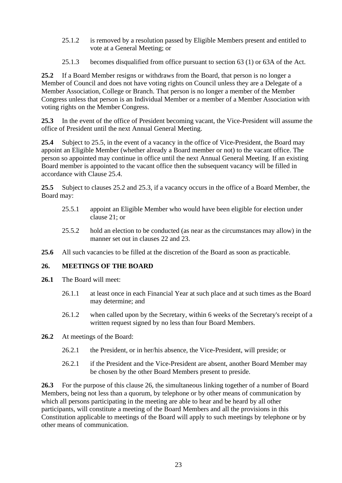- 25.1.2 is removed by a resolution passed by Eligible Members present and entitled to vote at a General Meeting; or
- 25.1.3 becomes disqualified from office pursuant to section 63 (1) or 63A of the Act.

**25.2** If a Board Member resigns or withdraws from the Board, that person is no longer a Member of Council and does not have voting rights on Council unless they are a Delegate of a Member Association, College or Branch. That person is no longer a member of the Member Congress unless that person is an Individual Member or a member of a Member Association with voting rights on the Member Congress.

**25.3** In the event of the office of President becoming vacant, the Vice-President will assume the office of President until the next Annual General Meeting.

**25.4** Subject to 25.5, in the event of a vacancy in the office of Vice-President, the Board may appoint an Eligible Member (whether already a Board member or not) to the vacant office. The person so appointed may continue in office until the next Annual General Meeting. If an existing Board member is appointed to the vacant office then the subsequent vacancy will be filled in accordance with Clause 25.4.

**25.5** Subject to clauses 25.2 and 25.3, if a vacancy occurs in the office of a Board Member, the Board may:

- 25.5.1 appoint an Eligible Member who would have been eligible for election under clause 21; or
- 25.5.2 hold an election to be conducted (as near as the circumstances may allow) in the manner set out in clauses 22 and 23.
- **25.6** All such vacancies to be filled at the discretion of the Board as soon as practicable.

## **26. MEETINGS OF THE BOARD**

- **26.1** The Board will meet:
	- 26.1.1 at least once in each Financial Year at such place and at such times as the Board may determine; and
	- 26.1.2 when called upon by the Secretary, within 6 weeks of the Secretary's receipt of a written request signed by no less than four Board Members.
- **26.2** At meetings of the Board:
	- 26.2.1 the President, or in her/his absence, the Vice-President, will preside; or
	- 26.2.1 if the President and the Vice-President are absent, another Board Member may be chosen by the other Board Members present to preside.

**26.3** For the purpose of this clause 26, the simultaneous linking together of a number of Board Members, being not less than a quorum, by telephone or by other means of communication by which all persons participating in the meeting are able to hear and be heard by all other participants, will constitute a meeting of the Board Members and all the provisions in this Constitution applicable to meetings of the Board will apply to such meetings by telephone or by other means of communication.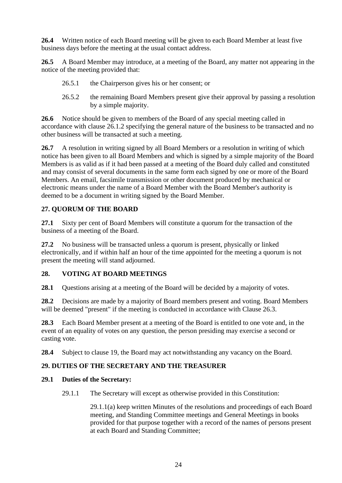**26.4** Written notice of each Board meeting will be given to each Board Member at least five business days before the meeting at the usual contact address.

**26.5** A Board Member may introduce, at a meeting of the Board, any matter not appearing in the notice of the meeting provided that:

- 26.5.1 the Chairperson gives his or her consent; or
- 26.5.2 the remaining Board Members present give their approval by passing a resolution by a simple majority.

**26.6** Notice should be given to members of the Board of any special meeting called in accordance with clause 26.1.2 specifying the general nature of the business to be transacted and no other business will be transacted at such a meeting.

**26.7** A resolution in writing signed by all Board Members or a resolution in writing of which notice has been given to all Board Members and which is signed by a simple majority of the Board Members is as valid as if it had been passed at a meeting of the Board duly called and constituted and may consist of several documents in the same form each signed by one or more of the Board Members. An email, facsimile transmission or other document produced by mechanical or electronic means under the name of a Board Member with the Board Member's authority is deemed to be a document in writing signed by the Board Member.

# **27. QUORUM OF THE BOARD**

**27.1** Sixty per cent of Board Members will constitute a quorum for the transaction of the business of a meeting of the Board.

**27.2** No business will be transacted unless a quorum is present, physically or linked electronically, and if within half an hour of the time appointed for the meeting a quorum is not present the meeting will stand adjourned.

## **28. VOTING AT BOARD MEETINGS**

**28.1** Questions arising at a meeting of the Board will be decided by a majority of votes.

**28.2** Decisions are made by a majority of Board members present and voting. Board Members will be deemed "present" if the meeting is conducted in accordance with Clause 26.3.

**28.3** Each Board Member present at a meeting of the Board is entitled to one vote and, in the event of an equality of votes on any question, the person presiding may exercise a second or casting vote.

**28.4** Subject to clause 19, the Board may act notwithstanding any vacancy on the Board.

## **29. DUTIES OF THE SECRETARY AND THE TREASURER**

#### **29.1 Duties of the Secretary:**

29.1.1 The Secretary will except as otherwise provided in this Constitution:

29.1.1(a) keep written Minutes of the resolutions and proceedings of each Board meeting, and Standing Committee meetings and General Meetings in books provided for that purpose together with a record of the names of persons present at each Board and Standing Committee;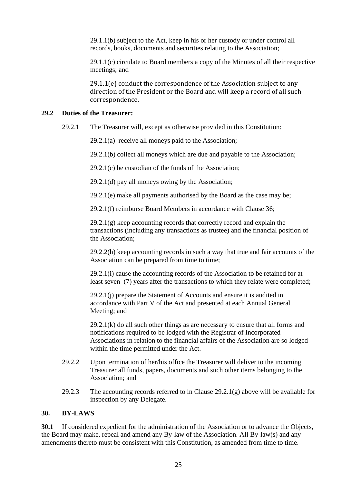29.1.1(b) subject to the Act, keep in his or her custody or under control all records, books, documents and securities relating to the Association;

29.1.1(c) circulate to Board members a copy of the Minutes of all their respective meetings; and

29.1.1(e) conduct the correspondence of the Association subject to any direction of the President or the Board and will keep a record of all such correspondence.

#### **29.2 Duties of the Treasurer:**

29.2.1 The Treasurer will, except as otherwise provided in this Constitution:

29.2.1(a) receive all moneys paid to the Association;

29.2.1(b) collect all moneys which are due and payable to the Association;

29.2.1(c) be custodian of the funds of the Association;

29.2.1(d) pay all moneys owing by the Association;

29.2.1(e) make all payments authorised by the Board as the case may be;

29.2.1(f) reimburse Board Members in accordance with Clause 36;

29.2.1(g) keep accounting records that correctly record and explain the transactions (including any transactions as trustee) and the financial position of the Association;

29.2.2(h) keep accounting records in such a way that true and fair accounts of the Association can be prepared from time to time;

29.2.1(i) cause the accounting records of the Association to be retained for at least seven (7) years after the transactions to which they relate were completed;

 29.2.1(j) prepare the Statement of Accounts and ensure it is audited in accordance with Part V of the Act and presented at each Annual General Meeting; and

 $29.2.1(k)$  do all such other things as are necessary to ensure that all forms and notifications required to be lodged with the Registrar of Incorporated Associations in relation to the financial affairs of the Association are so lodged within the time permitted under the Act.

- 29.2.2 Upon termination of her/his office the Treasurer will deliver to the incoming Treasurer all funds, papers, documents and such other items belonging to the Association; and
- 29.2.3 The accounting records referred to in Clause  $29.2.1(g)$  above will be available for inspection by any Delegate.

#### **30. BY-LAWS**

**30.1** If considered expedient for the administration of the Association or to advance the Objects, the Board may make, repeal and amend any By-law of the Association. All By-law(s) and any amendments thereto must be consistent with this Constitution, as amended from time to time.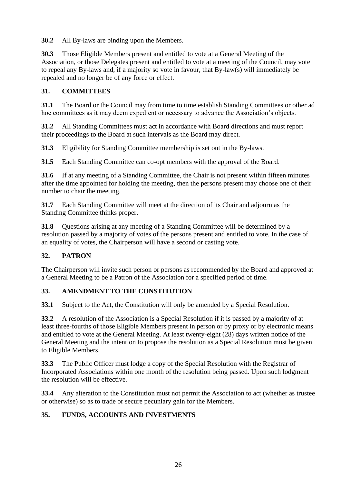**30.2** All By-laws are binding upon the Members.

**30.3** Those Eligible Members present and entitled to vote at a General Meeting of the Association, or those Delegates present and entitled to vote at a meeting of the Council, may vote to repeal any By-laws and, if a majority so vote in favour, that By-law(s) will immediately be repealed and no longer be of any force or effect.

# **31. COMMITTEES**

**31.1** The Board or the Council may from time to time establish Standing Committees or other ad hoc committees as it may deem expedient or necessary to advance the Association's objects.

**31.2** All Standing Committees must act in accordance with Board directions and must report their proceedings to the Board at such intervals as the Board may direct.

**31.3** Eligibility for Standing Committee membership is set out in the By-laws.

**31.5** Each Standing Committee can co-opt members with the approval of the Board.

**31.6** If at any meeting of a Standing Committee, the Chair is not present within fifteen minutes after the time appointed for holding the meeting, then the persons present may choose one of their number to chair the meeting.

**31.7** Each Standing Committee will meet at the direction of its Chair and adjourn as the Standing Committee thinks proper.

**31.8** Questions arising at any meeting of a Standing Committee will be determined by a resolution passed by a majority of votes of the persons present and entitled to vote. In the case of an equality of votes, the Chairperson will have a second or casting vote.

# **32. PATRON**

The Chairperson will invite such person or persons as recommended by the Board and approved at a General Meeting to be a Patron of the Association for a specified period of time.

# **33. AMENDMENT TO THE CONSTITUTION**

**33.1** Subject to the Act, the Constitution will only be amended by a Special Resolution.

**33.2** A resolution of the Association is a Special Resolution if it is passed by a majority of at least three-fourths of those Eligible Members present in person or by proxy or by electronic means and entitled to vote at the General Meeting. At least twenty-eight (28) days written notice of the General Meeting and the intention to propose the resolution as a Special Resolution must be given to Eligible Members.

**33.3** The Public Officer must lodge a copy of the Special Resolution with the Registrar of Incorporated Associations within one month of the resolution being passed. Upon such lodgment the resolution will be effective.

**33.4** Any alteration to the Constitution must not permit the Association to act (whether as trustee or otherwise) so as to trade or secure pecuniary gain for the Members.

# **35. FUNDS, ACCOUNTS AND INVESTMENTS**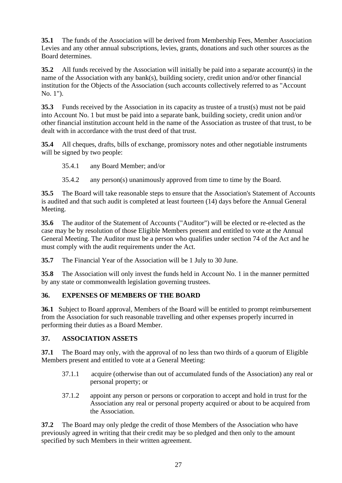**35.1** The funds of the Association will be derived from Membership Fees, Member Association Levies and any other annual subscriptions, levies, grants, donations and such other sources as the Board determines.

**35.2** All funds received by the Association will initially be paid into a separate account(s) in the name of the Association with any bank(s), building society, credit union and/or other financial institution for the Objects of the Association (such accounts collectively referred to as "Account No. 1").

**35.3** Funds received by the Association in its capacity as trustee of a trust(s) must not be paid into Account No. 1 but must be paid into a separate bank, building society, credit union and/or other financial institution account held in the name of the Association as trustee of that trust, to be dealt with in accordance with the trust deed of that trust.

**35.4** All cheques, drafts, bills of exchange, promissory notes and other negotiable instruments will be signed by two people:

35.4.1 any Board Member; and/or

35.4.2 any person(s) unanimously approved from time to time by the Board.

**35.5** The Board will take reasonable steps to ensure that the Association's Statement of Accounts is audited and that such audit is completed at least fourteen (14) days before the Annual General Meeting.

**35.6** The auditor of the Statement of Accounts ("Auditor") will be elected or re-elected as the case may be by resolution of those Eligible Members present and entitled to vote at the Annual General Meeting. The Auditor must be a person who qualifies under section 74 of the Act and he must comply with the audit requirements under the Act.

**35.7** The Financial Year of the Association will be 1 July to 30 June.

**35.8** The Association will only invest the funds held in Account No. 1 in the manner permitted by any state or commonwealth legislation governing trustees.

## **36. EXPENSES OF MEMBERS OF THE BOARD**

**36.1** Subject to Board approval, Members of the Board will be entitled to prompt reimbursement from the Association for such reasonable travelling and other expenses properly incurred in performing their duties as a Board Member.

## **37. ASSOCIATION ASSETS**

**37.1** The Board may only, with the approval of no less than two thirds of a quorum of Eligible Members present and entitled to vote at a General Meeting:

- 37.1.1 acquire (otherwise than out of accumulated funds of the Association) any real or personal property; or
- 37.1.2 appoint any person or persons or corporation to accept and hold in trust for the Association any real or personal property acquired or about to be acquired from the Association.

**37.2** The Board may only pledge the credit of those Members of the Association who have previously agreed in writing that their credit may be so pledged and then only to the amount specified by such Members in their written agreement.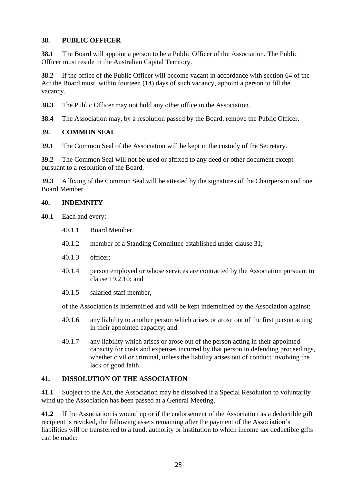## **38. PUBLIC OFFICER**

**38.1** The Board will appoint a person to be a Public Officer of the Association. The Public Officer must reside in the Australian Capital Territory.

**38.2** If the office of the Public Officer will become vacant in accordance with section 64 of the Act the Board must, within fourteen (14) days of such vacancy, appoint a person to fill the vacancy.

**38.3** The Public Officer may not hold any other office in the Association.

**38.4** The Association may, by a resolution passed by the Board, remove the Public Officer.

#### **39. COMMON SEAL**

**39.1** The Common Seal of the Association will be kept in the custody of the Secretary.

**39.2** The Common Seal will not be used or affixed to any deed or other document except pursuant to a resolution of the Board.

**39.3** Affixing of the Common Seal will be attested by the signatures of the Chairperson and one Board Member.

#### **40. INDEMNITY**

**40.1** Each and every:

- 40.1.1 Board Member,
- 40.1.2 member of a Standing Committee established under clause 31;
- 40.1.3 officer;
- 40.1.4 person employed or whose services are contracted by the Association pursuant to clause 19.2.10; and
- 40.1.5 salaried staff member,

of the Association is indemnified and will be kept indemnified by the Association against:

- 40.1.6 any liability to another person which arises or arose out of the first person acting in their appointed capacity; and
- 40.1.7 any liability which arises or arose out of the person acting in their appointed capacity for costs and expenses incurred by that person in defending proceedings, whether civil or criminal, unless the liability arises out of conduct involving the lack of good faith.

## **41. DISSOLUTION OF THE ASSOCIATION**

**41.1** Subject to the Act, the Association may be dissolved if a Special Resolution to voluntarily wind up the Association has been passed at a General Meeting.

**41.2** If the Association is wound up or if the endorsement of the Association as a deductible gift recipient is revoked, the following assets remaining after the payment of the Association's liabilities will be transferred to a fund, authority or institution to which income tax deductible gifts can be made: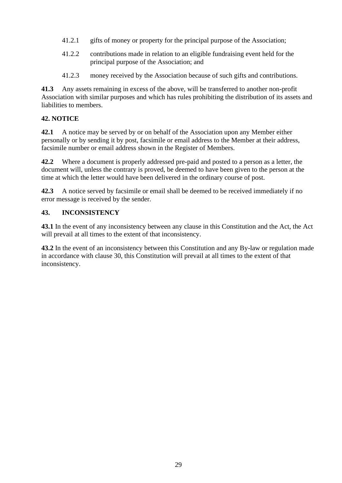- 41.2.1 gifts of money or property for the principal purpose of the Association;
- 41.2.2 contributions made in relation to an eligible fundraising event held for the principal purpose of the Association; and
- 41.2.3 money received by the Association because of such gifts and contributions.

**41.3** Any assets remaining in excess of the above, will be transferred to another non-profit Association with similar purposes and which has rules prohibiting the distribution of its assets and liabilities to members.

# **42. NOTICE**

**42.1** A notice may be served by or on behalf of the Association upon any Member either personally or by sending it by post, facsimile or email address to the Member at their address, facsimile number or email address shown in the Register of Members.

**42.2** Where a document is properly addressed pre-paid and posted to a person as a letter, the document will, unless the contrary is proved, be deemed to have been given to the person at the time at which the letter would have been delivered in the ordinary course of post.

**42.3** A notice served by facsimile or email shall be deemed to be received immediately if no error message is received by the sender.

# **43. INCONSISTENCY**

**43.1** In the event of any inconsistency between any clause in this Constitution and the Act, the Act will prevail at all times to the extent of that inconsistency.

**43.2** In the event of an inconsistency between this Constitution and any By-law or regulation made in accordance with clause 30, this Constitution will prevail at all times to the extent of that inconsistency.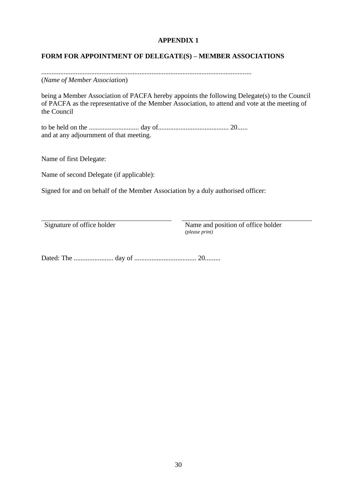# **APPENDIX 1**

## **FORM FOR APPOINTMENT OF DELEGATE(S) – MEMBER ASSOCIATIONS**

.......................................................................................................................... (*Name of Member Association*)

being a Member Association of PACFA hereby appoints the following Delegate(s) to the Council of PACFA as the representative of the Member Association, to attend and vote at the meeting of the Council

to be held on the ............................. day of......................................... 20...... and at any adjournment of that meeting.

Name of first Delegate:

Name of second Delegate (if applicable):

Signed for and on behalf of the Member Association by a duly authorised officer:

Signature of office holder Name and position of office holder *(please print)*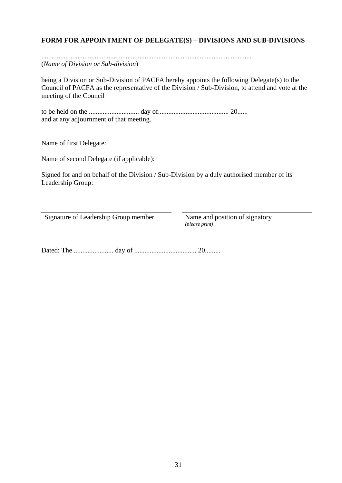# **FORM FOR APPOINTMENT OF DELEGATE(S) – DIVISIONS AND SUB-DIVISIONS**

.......................................................................................................................... (*Name of Division or Sub-division*)

being a Division or Sub-Division of PACFA hereby appoints the following Delegate(s) to the Council of PACFA as the representative of the Division / Sub-Division, to attend and vote at the meeting of the Council

to be held on the ............................. day of......................................... 20...... and at any adjournment of that meeting.

Name of first Delegate:

Name of second Delegate (if applicable):

Signed for and on behalf of the Division / Sub-Division by a duly authorised member of its Leadership Group:

Signature of Leadership Group member Name and position of signatory

*(please print)*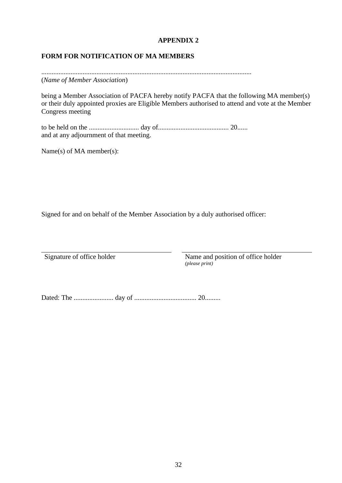# **APPENDIX 2**

## **FORM FOR NOTIFICATION OF MA MEMBERS**

.......................................................................................................................... (*Name of Member Association*)

being a Member Association of PACFA hereby notify PACFA that the following MA member(s) or their duly appointed proxies are Eligible Members authorised to attend and vote at the Member Congress meeting

to be held on the ............................. day of......................................... 20...... and at any adjournment of that meeting.

Name(s) of MA member(s):

Signed for and on behalf of the Member Association by a duly authorised officer:

Signature of office holder Name and position of office holder *(please print)*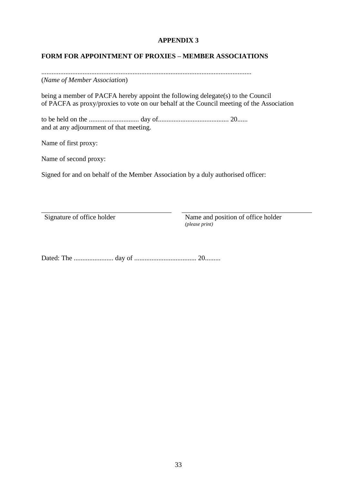# **APPENDIX 3**

# **FORM FOR APPOINTMENT OF PROXIES – MEMBER ASSOCIATIONS**

.......................................................................................................................... (*Name of Member Association*)

being a member of PACFA hereby appoint the following delegate(s) to the Council of PACFA as proxy/proxies to vote on our behalf at the Council meeting of the Association

to be held on the ............................. day of......................................... 20...... and at any adjournment of that meeting.

Name of first proxy:

Name of second proxy:

Signed for and on behalf of the Member Association by a duly authorised officer:

Signature of office holder Name and position of office holder *(please print)*